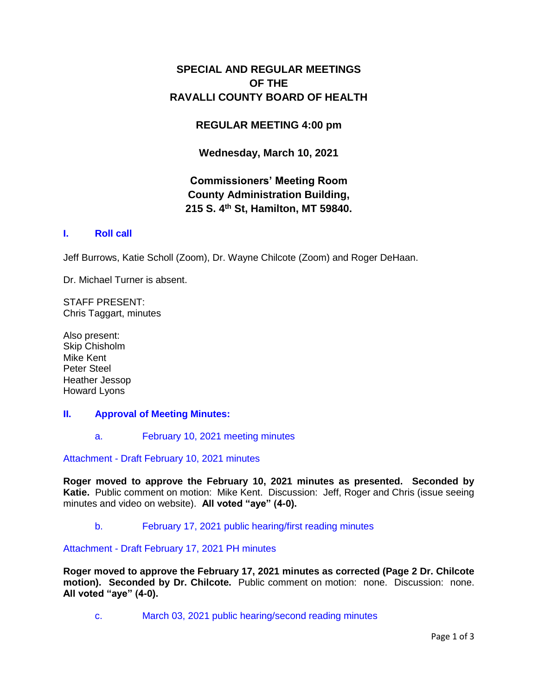## **SPECIAL AND REGULAR MEETINGS OF THE RAVALLI COUNTY BOARD OF HEALTH**

### **REGULAR MEETING 4:00 pm**

**Wednesday, March 10, 2021**

## **Commissioners' Meeting Room County Administration Building, 215 S. 4th St, Hamilton, MT 59840.**

### **I. [Roll call](http://ravalli-mt.granicus.com/wordlinkreceiver.php?clip_id=54122cc7-2655-495a-855e-49a6edeb410d&meta_id=de6a8378-60e1-48cf-8303-58d4f85ba3bf&time=6)**

Jeff Burrows, Katie Scholl (Zoom), Dr. Wayne Chilcote (Zoom) and Roger DeHaan.

Dr. Michael Turner is absent.

STAFF PRESENT: Chris Taggart, minutes

Also present: Skip Chisholm Mike Kent Peter Steel Heather Jessop Howard Lyons

#### **II. [Approval of Meeting Minutes:](http://ravalli-mt.granicus.com/wordlinkreceiver.php?clip_id=54122cc7-2655-495a-855e-49a6edeb410d&meta_id=b73381e5-0d83-4d46-acf8-2b029d68dc1f&time=26)**

a. [February 10, 2021 meeting minutes](http://ravalli-mt.granicus.com/wordlinkreceiver.php?clip_id=54122cc7-2655-495a-855e-49a6edeb410d&meta_id=98c8b0f1-d92f-49aa-a724-f78cbbb1a112&time=27)

Attachment - [Draft February 10, 2021 minutes](http://ravalli-mt.granicus.com/DocumentViewer.php?file=ravalli-mt_bfa4f759f65c8591f6a339ead0e6369b.pdf)

**Roger moved to approve the February 10, 2021 minutes as presented. Seconded by Katie.** Public comment on motion: Mike Kent. Discussion: Jeff, Roger and Chris (issue seeing minutes and video on website). **All voted "aye" (4-0).**

b. [February 17, 2021 public hearing/first reading minutes](http://ravalli-mt.granicus.com/wordlinkreceiver.php?clip_id=54122cc7-2655-495a-855e-49a6edeb410d&meta_id=4ae175ca-d1f4-4898-94ef-17cc60b1c3f3&time=423)

Attachment - [Draft February 17, 2021 PH minutes](http://ravalli-mt.granicus.com/DocumentViewer.php?file=ravalli-mt_29d2de988d74b1c5e7aa1661e38b60e2.pdf)

**Roger moved to approve the February 17, 2021 minutes as corrected (Page 2 Dr. Chilcote motion). Seconded by Dr. Chilcote.** Public comment on motion: none. Discussion: none. **All voted "aye" (4-0).**

c. [March 03, 2021 public hearing/second reading minutes](http://ravalli-mt.granicus.com/wordlinkreceiver.php?clip_id=54122cc7-2655-495a-855e-49a6edeb410d&meta_id=4bafe2d1-fae7-4207-9a96-2998a64d649f&time=629)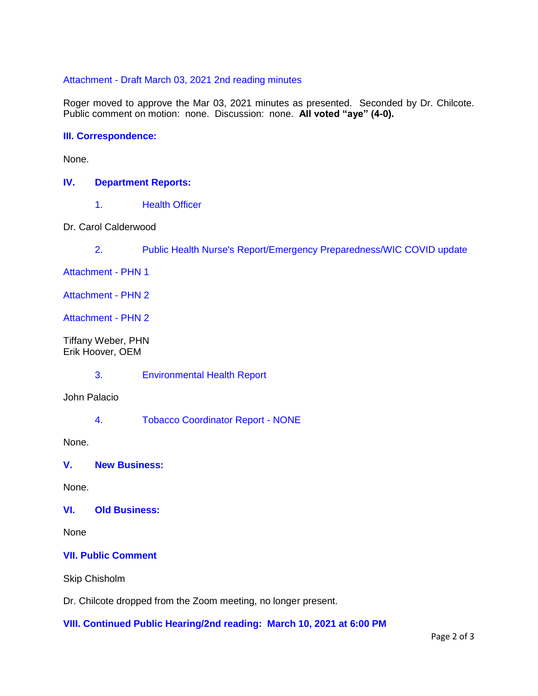#### Attachment - [Draft March 03, 2021 2nd reading minutes](http://ravalli-mt.granicus.com/DocumentViewer.php?file=ravalli-mt_1e56881ad4d3a0554aaffdd574d6c169.pdf)

Roger moved to approve the Mar 03, 2021 minutes as presented. Seconded by Dr. Chilcote. Public comment on motion: none. Discussion: none. **All voted "aye" (4-0).**

#### **[III. Correspondence:](http://ravalli-mt.granicus.com/wordlinkreceiver.php?clip_id=54122cc7-2655-495a-855e-49a6edeb410d&meta_id=26499a62-42ba-45e6-81ce-2845ca484774&time=702)**

None.

#### **IV. [Department Reports:](http://ravalli-mt.granicus.com/wordlinkreceiver.php?clip_id=54122cc7-2655-495a-855e-49a6edeb410d&meta_id=1d395c92-8c16-41e6-8061-300087add1fb&time=709)**

1. [Health Officer](http://ravalli-mt.granicus.com/wordlinkreceiver.php?clip_id=54122cc7-2655-495a-855e-49a6edeb410d&meta_id=2b03cf88-0bed-4b86-890f-ea42dea7909e&time=710)

Dr. Carol Calderwood

2. [Public Health Nurse's Report/Emergency Preparedness/WIC COVID update](http://ravalli-mt.granicus.com/wordlinkreceiver.php?clip_id=54122cc7-2655-495a-855e-49a6edeb410d&meta_id=4adc3142-5008-4ed8-9bda-61b6df070866&time=761)

[Attachment -](http://ravalli-mt.granicus.com/DocumentViewer.php?file=ravalli-mt_79d39f2085bbca4fdf2aa55b8faf688e.pdf) PHN 1

[Attachment -](http://ravalli-mt.granicus.com/DocumentViewer.php?file=ravalli-mt_605e307b3eb7214c1ca8e9db8205c63c.pdf) PHN 2

[Attachment -](http://ravalli-mt.granicus.com/DocumentViewer.php?file=ravalli-mt_3112a7d89376239eb23c25cedf643925.pdf) PHN 2

Tiffany Weber, PHN Erik Hoover, OEM

3. [Environmental Health Report](http://ravalli-mt.granicus.com/wordlinkreceiver.php?clip_id=54122cc7-2655-495a-855e-49a6edeb410d&meta_id=dfd85635-2ef8-451b-95a9-6280f3d6baf3&time=3697)

John Palacio

4. [Tobacco Coordinator Report -](http://ravalli-mt.granicus.com/wordlinkreceiver.php?clip_id=54122cc7-2655-495a-855e-49a6edeb410d&meta_id=458c3071-5f04-46c6-8dec-bb9f8224f523&time=3922) NONE

None.

**V. [New Business:](http://ravalli-mt.granicus.com/wordlinkreceiver.php?clip_id=54122cc7-2655-495a-855e-49a6edeb410d&meta_id=ff890b4f-a3f1-4ea5-9f32-f7723da9cf34&time=3926)**

None.

### **VI. [Old Business:](http://ravalli-mt.granicus.com/wordlinkreceiver.php?clip_id=54122cc7-2655-495a-855e-49a6edeb410d&meta_id=34f2479b-f032-435e-a773-cd121223f718&time=3930)**

None

### **[VII. Public Comment](http://ravalli-mt.granicus.com/wordlinkreceiver.php?clip_id=54122cc7-2655-495a-855e-49a6edeb410d&meta_id=213f5e9d-7440-404d-9967-a7c19fa8ba47&time=3934)**

Skip Chisholm

Dr. Chilcote dropped from the Zoom meeting, no longer present.

**[VIII. Continued Public Hearing/2nd reading: March 10, 2021 at 6:00 PM](http://ravalli-mt.granicus.com/wordlinkreceiver.php?clip_id=54122cc7-2655-495a-855e-49a6edeb410d&meta_id=093750f6-5c58-4430-96d2-352affdfc3bd&time=4219)**